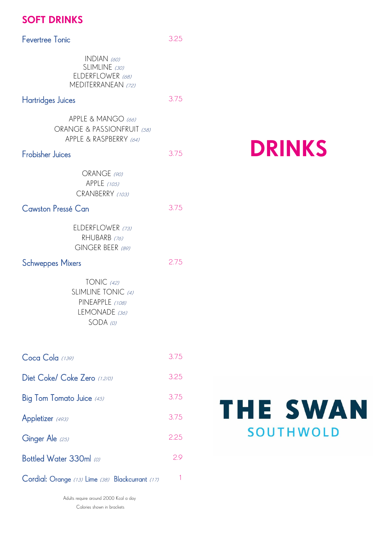# SOFT DRINKS

| <b>Fevertree Tonic</b>                                                             | 3.25 |
|------------------------------------------------------------------------------------|------|
| $INDIAN$ (60)<br>SLIMLINE (30)<br>ELDERFLOWER (68)<br>MEDITERRANEAN (72)           |      |
| <b>Hartridges Juices</b>                                                           | 3.75 |
| APPLE & MANGO (66)<br>ORANGE & PASSIONFRUIT (58)<br>APPLE & RASPBERRY (64)         |      |
| <b>Frobisher Juices</b>                                                            | 3.75 |
| ORANGE (90)<br>APPLE (105)<br>CRANBERRY (103)                                      |      |
| Cawston Pressé Can                                                                 | 3.75 |
| ELDERFLOWER (73)<br>RHUBARB (76)<br>GINGER BEER (89)                               |      |
| <b>Schweppes Mixers</b>                                                            | 2.75 |
| TONIC $(42)$<br>SLIMLINE TONIC (4)<br>PINEAPPLE (108)<br>LEMONADE (36)<br>SODA (0) |      |
| Coca Cola (139)                                                                    | 3.75 |
| Diet Coke/ Coke Zero (1.2/0)                                                       | 3.25 |
| Big Tom Tomato Juice $\it (45)$                                                    | 3.75 |
| Appletizer (493)                                                                   | 3.75 |
| Ginger Ale (25)                                                                    | 2.25 |
| Bottled Water 330ml $\omega$                                                       | 2.9  |
| Cordial: Orange (13) Lime (38) Blackcurrant (17)                                   | 1    |

Adults require around 2000 Kcal a day Calories shown in brackets

# DRINKS

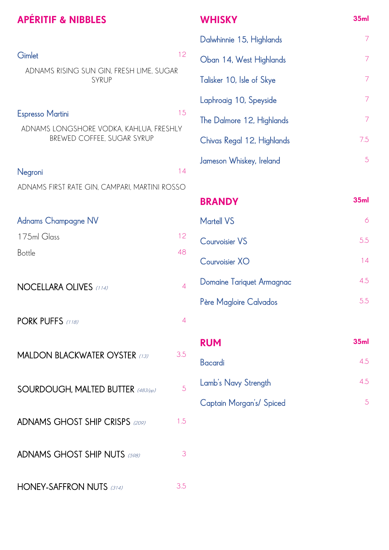# APÉRITIF & NIBBLES

| Gimlet                                                                                           | 12             |
|--------------------------------------------------------------------------------------------------|----------------|
| ADNAMS RISING SUN GIN, FRESH LIME, SUGAR<br>SYRUP                                                |                |
| <b>Espresso Martini</b><br>ADNAMS LONGSHORE VODKA, KAHLUA, FRESHLY<br>BREWED COFFEE, SUGAR SYRUP | 15             |
| Negroni<br>ADNAMS FIRST RATE GIN, CAMPARI, MARTINI ROSSO                                         | 14             |
| Adnams Champagne NV<br>175ml Glass<br><b>Bottle</b>                                              | 12<br>48       |
| NOCELLARA OLIVES (114)                                                                           | 4              |
| PORK PUFFS (118)                                                                                 | 4              |
| <b>MALDON BLACKWATER OYSTER (13)</b>                                                             | 3.5            |
| SOURDOUGH, MALTED BUTTER (483/pp)                                                                | $\overline{5}$ |
| ADNAMS GHOST SHIP CRISPS (209)                                                                   | 1.5            |
| ADNAMS GHOST SHIP NUTS (598)                                                                     | 3              |
| <b>HONEY-SAFFRON NUTS (314)</b>                                                                  | 3.5            |

# **WHISKY**

| Dalwhinnie 15, Highlands   |     |
|----------------------------|-----|
| Oban 14, West Highlands    |     |
| Talisker 10, Isle of Skye  | 7   |
| Laphroaig 10, Speyside     |     |
| The Dalmore 12, Highlands  | 7   |
| Chivas Regal 12, Highlands | 7.5 |
| Jameson Whiskey, Ireland   | 5   |

35ml

| <b>BRANDY</b>             | 35 <sub>ml</sub> |
|---------------------------|------------------|
| <b>Martell VS</b>         | Α                |
| <b>Courvoisier VS</b>     | 5.5              |
| Courvoisier XO            | 14               |
| Domaine Tariquet Armagnac | 4.5              |
| Père Magloire Calvados    | 5.5              |

| <b>RUM</b>                      | 35ml |
|---------------------------------|------|
| Bacardi                         | 4.5  |
| Lamb's Navy Strength            | 4.5  |
| <b>Captain Morgan's/ Spiced</b> |      |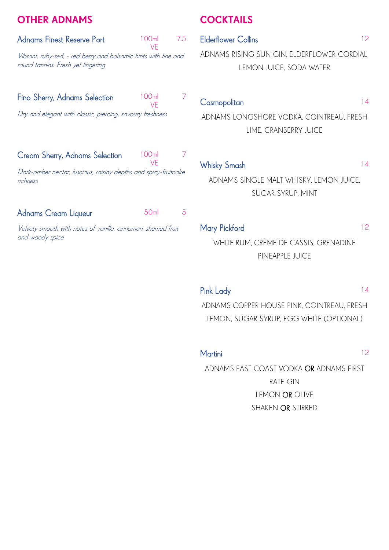# OTHER ADNAMS

| Adnams Finest Reserve Port                                                                            | 100ml<br>VF      | 7.5 |  |  |
|-------------------------------------------------------------------------------------------------------|------------------|-----|--|--|
| Vibrant, ruby-red, - red berry and balsamic hints with fine and<br>round tannins. Fresh yet lingering |                  |     |  |  |
| Fino Sherry, Adnams Selection                                                                         | 100m<br>VF       |     |  |  |
| Dry and elegant with classic, piercing, savoury freshness                                             |                  |     |  |  |
| Cream Sherry, Adnams Selection                                                                        | 100m             |     |  |  |
| VF<br>Dark-amber nectar, luscious, raisiny depths and spicy-fruitcake<br>richness                     |                  |     |  |  |
| Adnams Cream Liqueur                                                                                  | 50 <sub>ml</sub> | 5   |  |  |
| Velvety smooth with notes of vanilla, cinnamon, sherried fruit<br>and woody spice                     |                  |     |  |  |

# **COCKTAILS**

| <b>Elderflower Collins</b>                  | 12 |
|---------------------------------------------|----|
| ADNAMS RISING SUN GIN, ELDERFLOWER CORDIAL, |    |
| LEMON JUICE, SODA WATER                     |    |

# Cosmopolitan 14

ADNAMS LONGSHORE VODKA, COINTREAU, FRESH LIME, CRANBERRY JUICE

# Whisky Smash 14

ADNAMS SINGLE MALT WHISKY, LEMON JUICE, SUGAR SYRUP, MINT

# Mary Pickford 2002 12

WHITE RUM, CRÈME DE CASSIS, GRENADINE PINEAPPLE JUICE

# Pink Lady 14

ADNAMS COPPER HOUSE PINK, COINTREAU, FRESH LEMON, SUGAR SYRUP, EGG WHITE (OPTIONAL)

## Martini 12

ADNAMS EAST COAST VODKA OR ADNAMS FIRST RATE GIN LEMON OR OLIVE SHAKEN OR STIRRED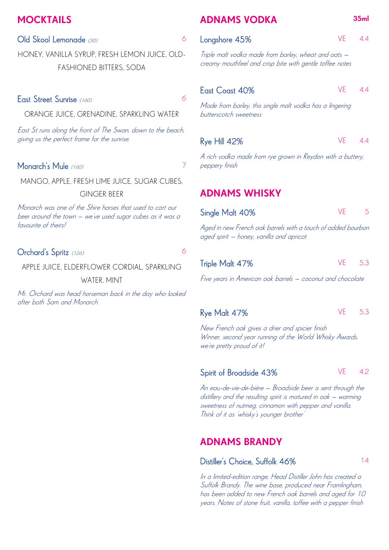# **MOCKTAILS**

#### Old Skool Lemonade (30) 66

HONEY, VANILLA SYRUP, FRESH LEMON JUICE, OLD-FASHIONED BITTERS, SODA

# East Street Sunrise (160) 6

ORANGE JUICE, GRENADINE, SPARKLING WATER

East St runs along the front of The Swan, down to the beach, giving us the perfect frame for the sunrise.

### Monarch's Mule (160) 7 7

MANGO, APPLE, FRESH LIME JUICE, SUGAR CUBES,

#### GINGER BEER

Monarch was one of the Shire horses that used to cart our beer around the town – we've used sugar cubes as it was a favourite of theirs!

# Orchard's Spritz (126) 6

APPLE JUICE, ELDERFLOWER CORDIAL, SPARKLING WATER, MINT

Mr. Orchard was head horseman back in the day who looked after both Sam and Monarch

# ADNAMS VODKA 35ml

Longshore 45% VE 4.4

Triple malt vodka made from barley, wheat and oats – creamy mouthfeel and crisp bite with gentle toffee notes

## East Coast 40% VE 4.4

Made from barley, this single malt vodka has a lingering butterscotch sweetness

#### Rye Hill 42% VE 4.4

A rich vodka made from rye grown in Reydon with a buttery, peppery finish

# ADNAMS WHISKY

| Single Malt 40%                                                                                          | VF   | 5   |
|----------------------------------------------------------------------------------------------------------|------|-----|
| Aged in new French oak barrels with a touch of added bourbon<br>aged spirit – honey, vanilla and apricot |      |     |
| Triple Malt 47%                                                                                          | VE 1 | 5.3 |

Five years in American oak barrels – coconut and chocolate

# Rye Malt 47% VE 5.3

New French oak gives a drier and spicier finish Winner, second year running of the World Whisky Awards, we're pretty proud of it!

#### Spirit of Broadside 43% VE 4.2

An eau-de-vie-de-bière – Broadside beer is sent through the distillery and the resulting spirit is matured in oak – warming sweetness of nutmeg, cinnamon with pepper and vanilla. Think of it as 'whisky's younger brother'

# ADNAMS BRANDY

### Distiller's Choice, Suffolk 46% 14

In a limited-edition range, Head Distiller John has created a Suffolk Brandy. The wine base, produced near Framlingham, has been added to new French oak barrels and aged for 10 years. Notes of stone fruit, vanilla, toffee with a pepper finish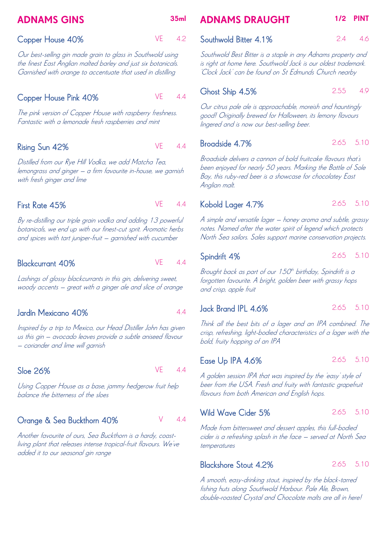# ADNAMS GINS 35ml

### Copper House 40% VE 4.2

Our best-selling gin made grain to glass in Southwold using the finest East Anglian malted barley and just six botanicals. Garnished with orange to accentuate that used in distilling

# Copper House Pink 40% VE 4.4

The pink version of Copper House with raspberry freshness. Fantastic with a lemonade fresh raspberries and mint

# Rising Sun 42% VE 4.4

Distilled from our Rye Hill Vodka, we add Matcha Tea, lemongrass and ginger – a firm favourite in-house, we garnish with fresh ginger and lime

# First Rate 45% VE 4.4

By re-distilling our triple grain vodka and adding 13 powerful botanicals, we end up with our finest-cut sprit. Aromatic herbs and spices with tart juniper-fruit – garnished with cucumber

#### Blackcurrant 40% VE 4.4

Lashings of glossy blackcurrants in this gin, delivering sweet, woody accents – great with a ginger ale and slice of orange

### Jardín Mexicano 40% 4.4

Inspired by a trip to Mexico, our Head Distiller John has given us this gin – avocado leaves provide a subtle aniseed flavour – coriander and lime will garnish

#### Sloe 26% VE 4.4

Using Copper House as a base, jammy hedgerow fruit help balance the bitterness of the sloes

# Orange & Sea Buckthorn 40% V 4.4

Another favourite of ours, Sea Buckthorn is a hardy, coastliving plant that releases intense tropical-fruit flavours. We've added it to our seasonal gin range

# ADNAMS DRAUGHT 1/2 PINT

Southwold Bitter 4.1% 2.4 4.6

Southwold Best Bitter is a staple in any Adnams property and is right at home here. Southwold Jack is our oldest trademark. 'Clock Jack' can be found on St Edmunds Church nearby

# Ghost Ship 4.5% 2.55 4.9

Our citrus pale ale is approachable, moreish and hauntingly good! Originally brewed for Halloween, its lemony flavours lingered and is now our best-selling beer.

### **Broadside 4.7%** 2.65 5.10

Broadside delivers a cannon of bold fruitcake flavours that's been enjoyed for nearly 50 years. Marking the Battle of Sole Bay, this ruby-red beer is a showcase for chocolatey East Anglian malt.

#### Kobold Lager 4.7% 2.65 5.10

A simple and versatile lager – honey aroma and subtle, grassy notes. Named after the water spirit of legend which protects North Sea sailors. Sales support marine conservation projects.

# Spindrift 4% 2.65 5.10

Brought back as part of our 150<sup>th</sup> birthday, Spindrift is a forgotten favourite. A bright, golden beer with grassy hops and crisp, apple fruit

#### Jack Brand IPL 4.6% 2.65 5.10

Think all the best bits of a lager and an IPA combined. The crisp, refreshing, light-bodied characteristics of a lager with the bold, fruity hopping of an IPA

#### Ease Up IPA 4.6% 2.65 5.10

A golden session IPA that was inspired by the 'easy' style of beer from the USA. Fresh and fruity with fantastic grapefruit flavours from both American and English hops.

# Wild Wave Cider 5% 2.65 5.10

Made from bittersweet and dessert apples, this full-bodied cider is a refreshing splash in the face – served at North Sea temperatures

### Blackshore Stout 4.2% 2.65 5.10

A smooth, easy-drinking stout, inspired by the black-tarred fishing huts along Southwold Harbour. Pale Ale, Brown, double-roasted Crystal and Chocolate malts are all in here!